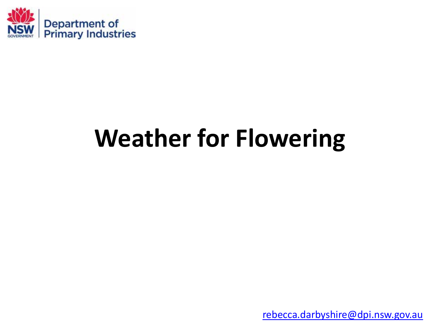

## **Weather for Flowering**

[rebecca.darbyshire@dpi.nsw.gov.au](mailto:Rebecca.darbyshire@dpi.nsw.gov.au)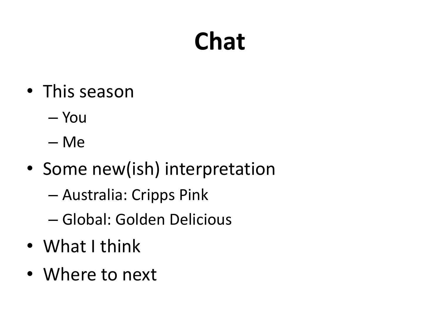# **Chat**

- This season
	- You
	- Me
- Some new(ish) interpretation
	- Australia: Cripps Pink
	- Global: Golden Delicious
- What I think
- Where to next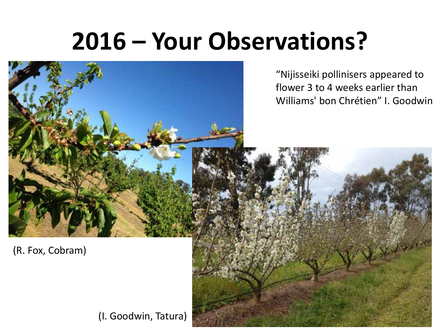### **2016 – Your Observations?**

"Nijisseiki pollinisers appeared to flower 3 to 4 weeks earlier than Williams' bon Chrétien" I. Goodwin

(R. Fox, Cobram)

(I. Goodwin, Tatura)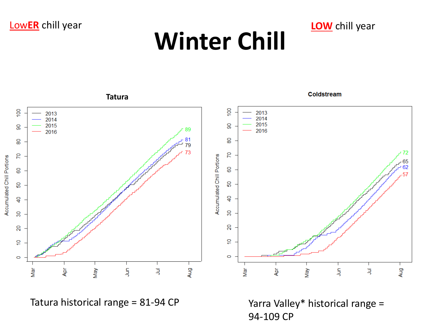#### Low**ER** chill year **LOW** chill year

# **Winter Chill**



Tatura historical range = 81-94 CP Yarra Valley\* historical range = 94-109 CP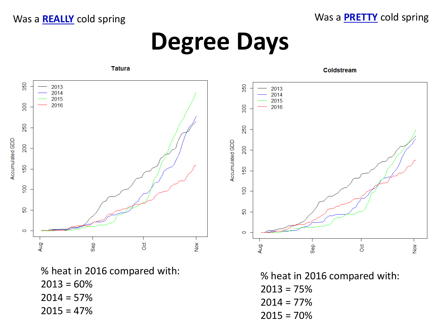Was a **REALLY** cold spring **Was a REALLY** cold spring

#### **Degree Days**



% heat in 2016 compared with:  $2013 = 60%$  $2014 = 57%$  $2015 = 47%$ 

% heat in 2016 compared with:  $2013 = 75%$  $2014 = 77\%$  $2015 = 70%$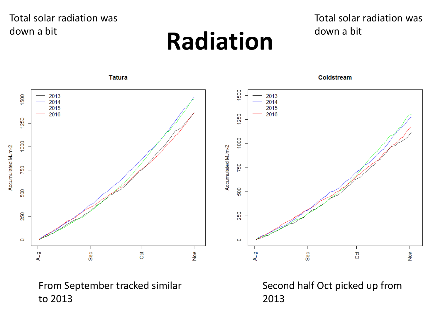#### Total solar radiation was down a bit

#### **Radiation**

#### Total solar radiation was down a bit



From September tracked similar to 2013

Second half Oct picked up from 2013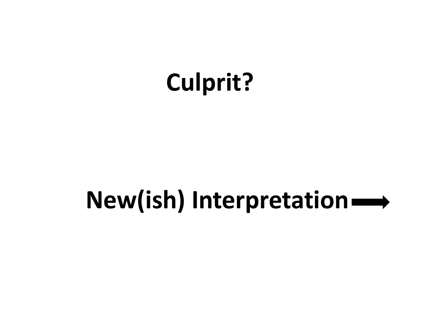## **Culprit?**

#### **New(ish) Interpretation**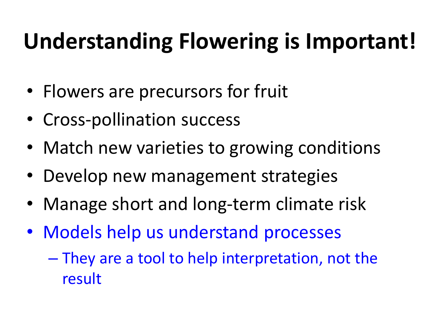#### **Understanding Flowering is Important!**

- Flowers are precursors for fruit
- Cross-pollination success
- Match new varieties to growing conditions
- Develop new management strategies
- Manage short and long-term climate risk
- Models help us understand processes
	- They are a tool to help interpretation, not the result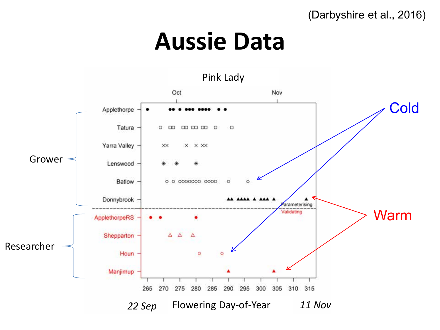(Darbyshire et al., 2016)

#### **Aussie Data**

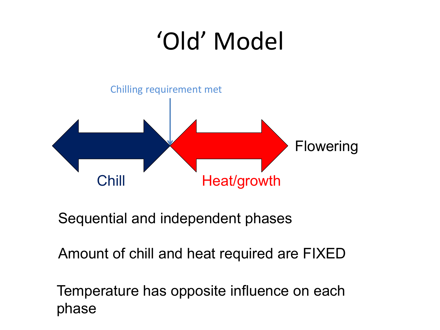# 'Old' Model



Sequential and independent phases

Amount of chill and heat required are FIXED

Temperature has opposite influence on each phase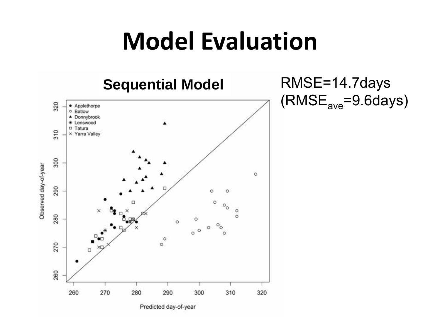#### **Model Evaluation**



RMSE=14.7days  $(RMSE<sub>ave</sub>=9.6 days)$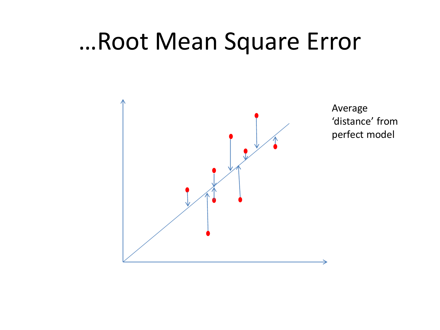#### …Root Mean Square Error



Average 'distance' from perfect model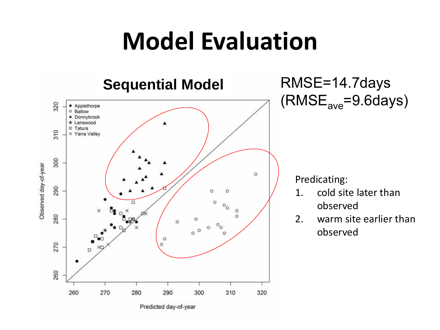#### **Model Evaluation**

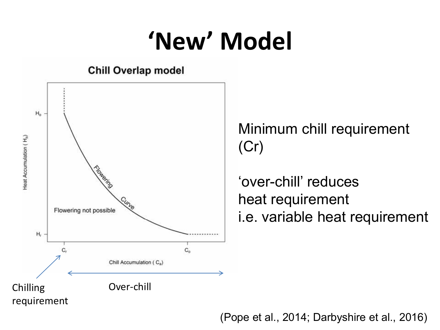## **'New' Model**



Minimum chill requirement (Cr)

'over-chill' reduces heat requirement i.e. variable heat requirement

(Pope et al., 2014; Darbyshire et al., 2016)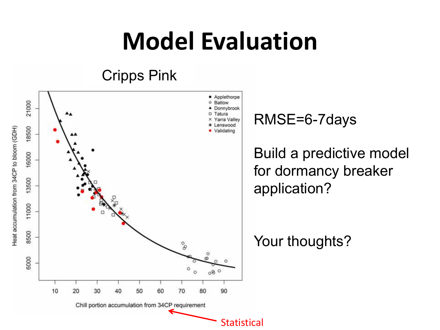## **Model Evaluation**

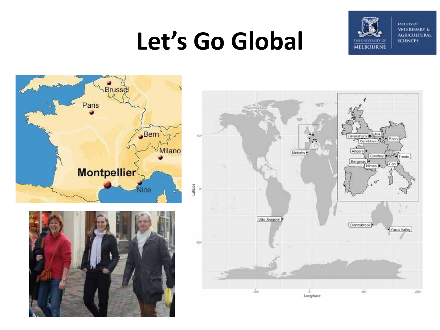#### **Let's Go Global**



**FACULTY OF VETERINARY & AGRICULTURAL SCIENCES** 





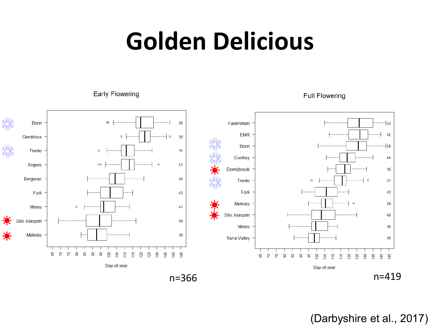#### **Golden Delicious**

**Early Flowering** 

#### **Full Flowering**



(Darbyshire et al., 2017)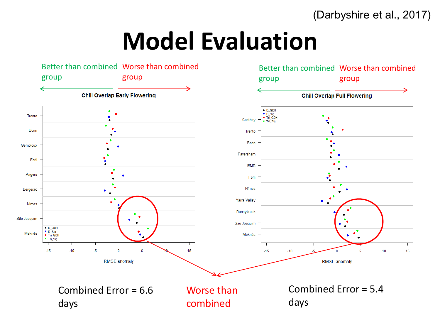(Darbyshire et al., 2017)

#### **Model Evaluation**

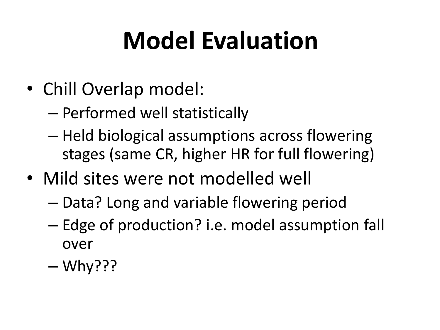# **Model Evaluation**

- Chill Overlap model:
	- Performed well statistically
	- Held biological assumptions across flowering stages (same CR, higher HR for full flowering)
- Mild sites were not modelled well
	- Data? Long and variable flowering period
	- Edge of production? i.e. model assumption fall over
	- Why???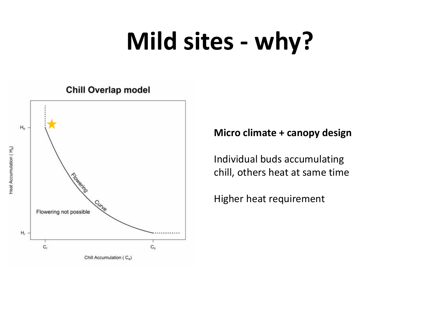#### **Mild sites - why?**

#### **Chill Overlap model**



#### **Micro climate + canopy design**

Individual buds accumulating chill, others heat at same time

Higher heat requirement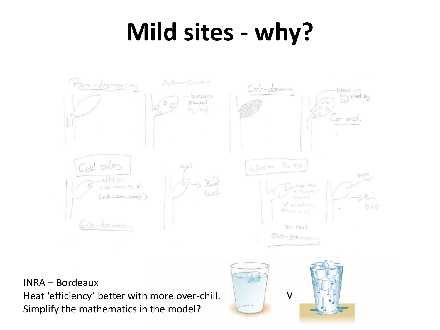## **Mild sites - why?**



INRA – Bordeaux Heat 'efficiency' better with more over-chill. Simplify the mathematics in the model?

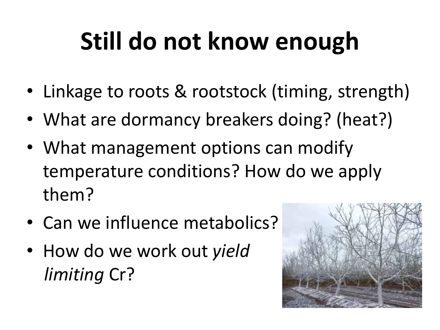# **Still do not know enough**

- Linkage to roots & rootstock (timing, strength)
- What are dormancy breakers doing? (heat?)
- What management options can modify temperature conditions? How do we apply them?
- Can we influence metabolics?
- How do we work out *yield limiting* Cr?

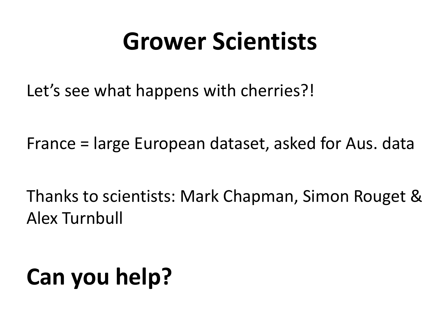#### **Grower Scientists**

Let's see what happens with cherries?!

France = large European dataset, asked for Aus. data

Thanks to scientists: Mark Chapman, Simon Rouget & Alex Turnbull

# **Can you help?**